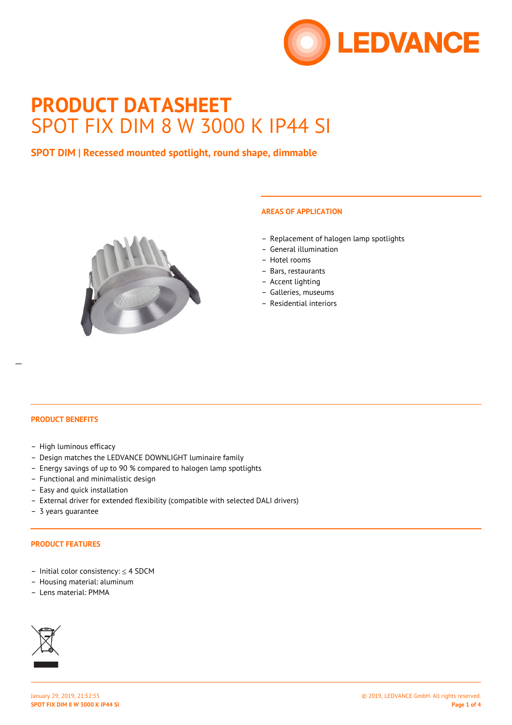

# **PRODUCT DATASHEET** SPOT FIX DIM 8 W 3000 K IP44 SI

## **SPOT DIM | Recessed mounted spotlight, round shape, dimmable**



## **AREAS OF APPLICATION**

- Replacement of halogen lamp spotlights
- General illumination
- Hotel rooms
- Bars, restaurants
- Accent lighting
- Galleries, museums
- Residential interiors

#### **PRODUCT BENEFITS**

- High luminous efficacy
- Design matches the LEDVANCE DOWNLIGHT luminaire family
- Energy savings of up to 90 % compared to halogen lamp spotlights
- Functional and minimalistic design
- Easy and quick installation
- External driver for extended flexibility (compatible with selected DALI drivers)
- 3 years guarantee

#### **PRODUCT FEATURES**

- Initial color consistency: ≤ 4 SDCM
- Housing material: aluminum
- Lens material: PMMA

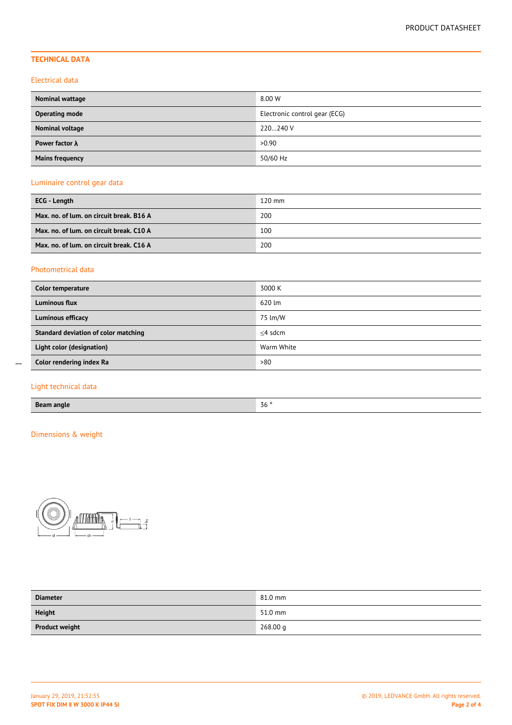## **TECHNICAL DATA**

### Electrical data

| <b>Nominal wattage</b> | 8.00 W                        |
|------------------------|-------------------------------|
| <b>Operating mode</b>  | Electronic control gear (ECG) |
| Nominal voltage        | 220240 V                      |
| Power factor $\lambda$ | >0.90                         |
| <b>Mains frequency</b> | 50/60 Hz                      |

## Luminaire control gear data

| ECG - Length                             | $120 \text{ mm}$ |
|------------------------------------------|------------------|
| Max. no. of lum. on circuit break. B16 A | 200              |
| Max. no. of lum. on circuit break. C10 A | 100              |
| Max. no. of lum. on circuit break. C16 A | 200              |

## Photometrical data

| Color temperature                    | 3000 K     |
|--------------------------------------|------------|
| Luminous flux                        | 620 lm     |
| Luminous efficacy                    | 75 lm/W    |
| Standard deviation of color matching | $<$ 4 sdcm |
| Light color (designation)            | Warm White |
| Color rendering index Ra             | >80        |

## Light technical data

 $\overline{a}$ 

| <b>Beam angle</b> | $Z \sim$ $\circ$<br>JV. |
|-------------------|-------------------------|
|-------------------|-------------------------|

## Dimensions & weight



| <b>Diameter</b>       | 81.0 mm  |
|-----------------------|----------|
| <b>Height</b>         | 51.0 mm  |
| <b>Product weight</b> | 268.00 g |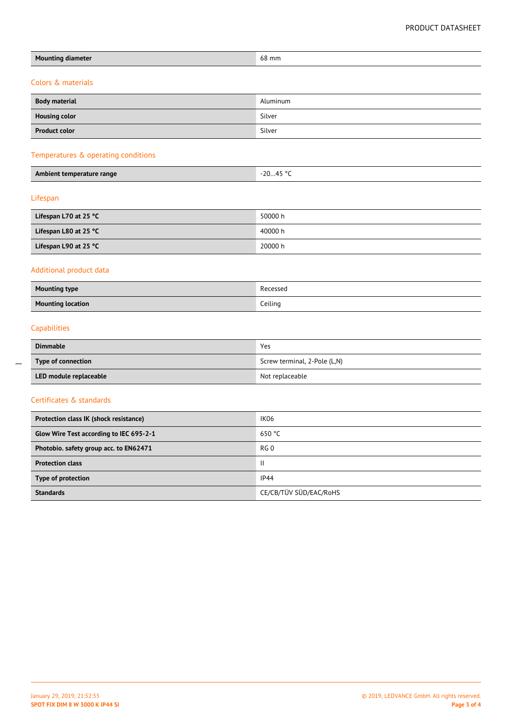| <b>Mounting diameter</b>                | 68 mm                        |  |  |  |
|-----------------------------------------|------------------------------|--|--|--|
| Colors & materials                      |                              |  |  |  |
| <b>Body material</b>                    | Aluminum                     |  |  |  |
| <b>Housing color</b>                    | Silver                       |  |  |  |
| <b>Product color</b>                    | Silver                       |  |  |  |
| Temperatures & operating conditions     |                              |  |  |  |
|                                         |                              |  |  |  |
| Ambient temperature range               | $-2045 °C$                   |  |  |  |
| Lifespan                                |                              |  |  |  |
| Lifespan L70 at 25 °C                   | 50000 h                      |  |  |  |
| Lifespan L80 at 25 °C                   | 40000 h                      |  |  |  |
| Lifespan L90 at 25 °C                   | 20000 h                      |  |  |  |
| Additional product data                 |                              |  |  |  |
| <b>Mounting type</b>                    | Recessed                     |  |  |  |
| <b>Mounting location</b>                | Ceiling                      |  |  |  |
| Capabilities                            |                              |  |  |  |
| <b>Dimmable</b>                         | Yes                          |  |  |  |
| Type of connection                      | Screw terminal, 2-Pole (L,N) |  |  |  |
| LED module replaceable                  | Not replaceable              |  |  |  |
| Certificates & standards                |                              |  |  |  |
| Protection class IK (shock resistance)  | IK06                         |  |  |  |
| Glow Wire Test according to IEC 695-2-1 | 650 °C                       |  |  |  |
| Photobio. safety group acc. to EN62471  | RG <sub>0</sub>              |  |  |  |
| <b>Protection class</b>                 | $\mathbf{II}$                |  |  |  |
| Type of protection                      | IP44                         |  |  |  |

 $\overline{a}$